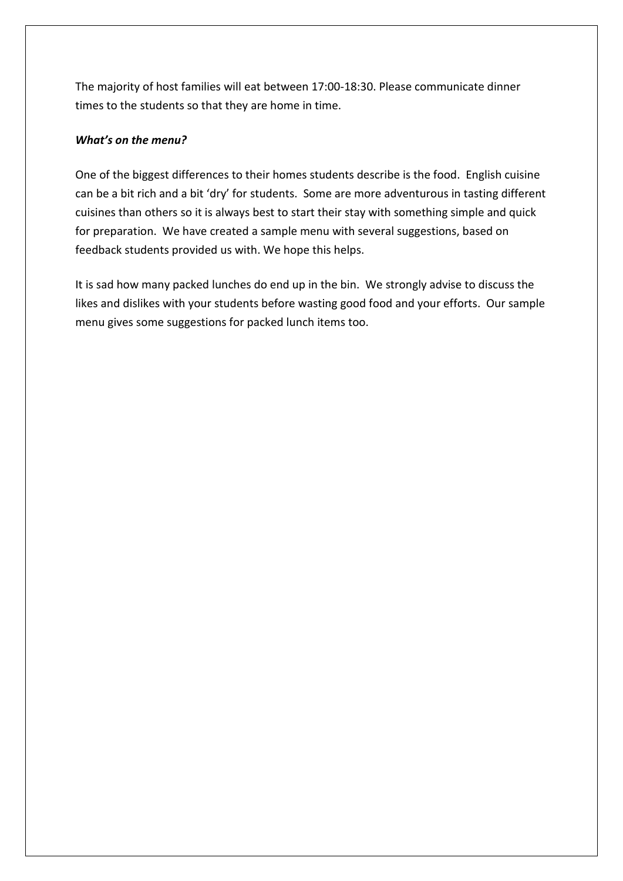The majority of host families will eat between 17:00-18:30. Please communicate dinner times to the students so that they are home in time.

### *What's on the menu?*

One of the biggest differences to their homes students describe is the food. English cuisine can be a bit rich and a bit 'dry' for students. Some are more adventurous in tasting different cuisines than others so it is always best to start their stay with something simple and quick for preparation. We have created a sample menu with several suggestions, based on feedback students provided us with. We hope this helps.

It is sad how many packed lunches do end up in the bin. We strongly advise to discuss the likes and dislikes with your students before wasting good food and your efforts. Our sample menu gives some suggestions for packed lunch items too.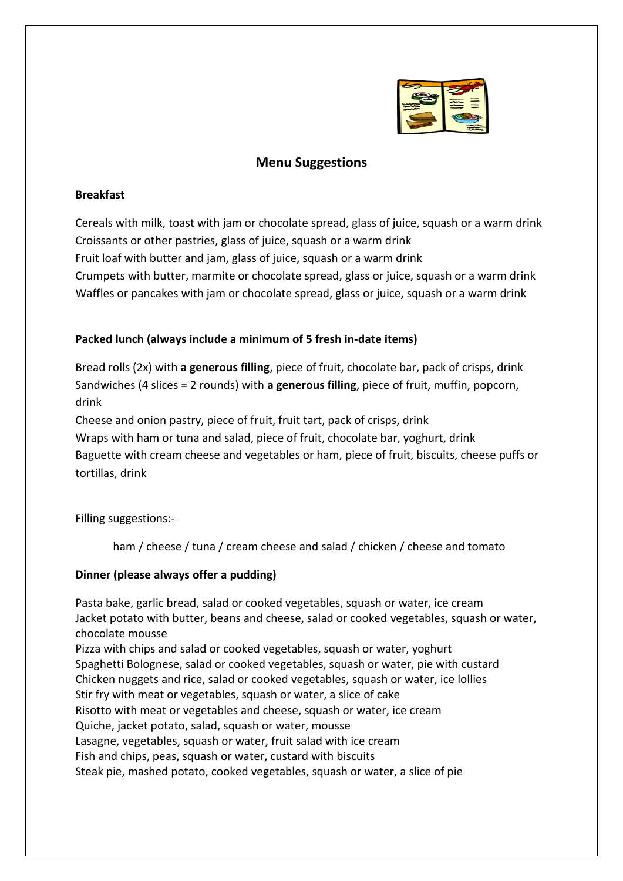

# **Menu Suggestions**

#### **Breakfast**

Cereals with milk, toast with jam or chocolate spread, glass of juice, squash or a warm drink Croissants or other pastries, glass of juice, squash or a warm drink Fruit loaf with butter and jam, glass of juice, squash or a warm drink Crumpets with butter, marmite or chocolate spread, glass or juice, squash or a warm drink Waffles or pancakes with jam or chocolate spread, glass or juice, squash or a warm drink

## **Packed lunch (always include a minimum of 5 fresh in-date items)**

Bread rolls (2x) with **a generous filling**, piece of fruit, chocolate bar, pack of crisps, drink Sandwiches (4 slices = 2 rounds) with **a generous filling**, piece of fruit, muffin, popcorn, drink

Cheese and onion pastry, piece of fruit, fruit tart, pack of crisps, drink

Wraps with ham or tuna and salad, piece of fruit, chocolate bar, yoghurt, drink Baguette with cream cheese and vegetables or ham, piece of fruit, biscuits, cheese puffs or tortillas, drink

Filling suggestions:-

ham / cheese / tuna / cream cheese and salad / chicken / cheese and tomato

## **Dinner (please always offer a pudding)**

Pasta bake, garlic bread, salad or cooked vegetables, squash or water, ice cream Jacket potato with butter, beans and cheese, salad or cooked vegetables, squash or water, chocolate mousse

Pizza with chips and salad or cooked vegetables, squash or water, yoghurt Spaghetti Bolognese, salad or cooked vegetables, squash or water, pie with custard Chicken nuggets and rice, salad or cooked vegetables, squash or water, ice lollies Stir fry with meat or vegetables, squash or water, a slice of cake Risotto with meat or vegetables and cheese, squash or water, ice cream Quiche, jacket potato, salad, squash or water, mousse Lasagne, vegetables, squash or water, fruit salad with ice cream Fish and chips, peas, squash or water, custard with biscuits Steak pie, mashed potato, cooked vegetables, squash or water, a slice of pie